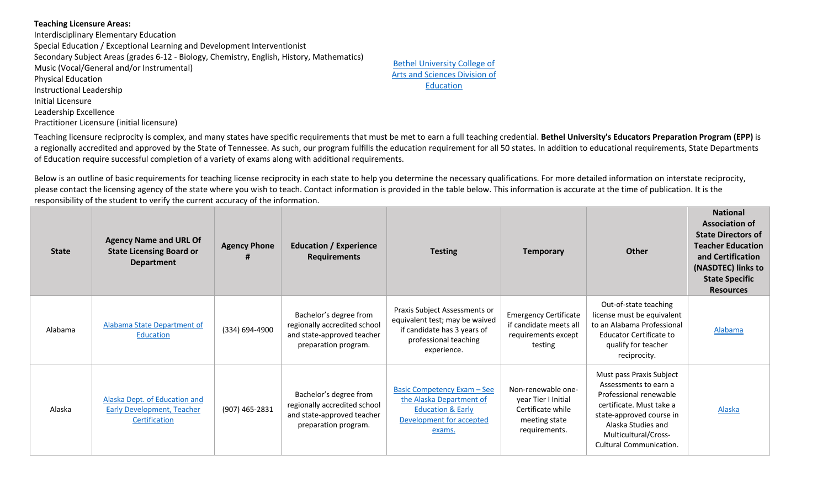## **Teaching Licensure Areas:**

Interdisciplinary Elementary Education Special Education / Exceptional Learning and Development Interventionist Secondary Subject Areas (grades 6-12 - Biology, Chemistry, English, History, Mathematics) Music (Vocal/General and/or Instrumental) Physical Education Instructional Leadership Initial Licensure Leadership Excellence Practitioner Licensure (initial licensure)

Bethel University College of Arts and Sciences Division of Education

Teaching licensure reciprocity is complex, and many states have specific requirements that must be met to earn a full teaching credential. **Bethel University's Educators Preparation Program (EPP)** is a regionally accredited and approved by the State of Tennessee. As such, our program fulfills the education requirement for all 50 states. In addition to educational requirements, State Departments of Education require successful completion of a variety of exams along with additional requirements.

Below is an outline of basic requirements for teaching license reciprocity in each state to help you determine the necessary qualifications. For more detailed information on interstate reciprocity, please contact the licensing agency of the state where you wish to teach. Contact information is provided in the table below. This information is accurate at the time of publication. It is the responsibility of the student to verify the current accuracy of the information.

| <b>State</b> | <b>Agency Name and URL Of</b><br><b>State Licensing Board or</b><br><b>Department</b> | <b>Agency Phone</b> | <b>Education / Experience</b><br><b>Requirements</b>                                                         | <b>Testing</b>                                                                                                                         | <b>Temporary</b>                                                                                 | <b>Other</b>                                                                                                                                                                                                        | <b>National</b><br><b>Association of</b><br><b>State Directors of</b><br><b>Teacher Education</b><br>and Certification<br>(NASDTEC) links to<br><b>State Specific</b><br><b>Resources</b> |
|--------------|---------------------------------------------------------------------------------------|---------------------|--------------------------------------------------------------------------------------------------------------|----------------------------------------------------------------------------------------------------------------------------------------|--------------------------------------------------------------------------------------------------|---------------------------------------------------------------------------------------------------------------------------------------------------------------------------------------------------------------------|-------------------------------------------------------------------------------------------------------------------------------------------------------------------------------------------|
| Alabama      | Alabama State Department of<br>Education                                              | (334) 694-4900      | Bachelor's degree from<br>regionally accredited school<br>and state-approved teacher<br>preparation program. | Praxis Subject Assessments or<br>equivalent test; may be waived<br>if candidate has 3 years of<br>professional teaching<br>experience. | <b>Emergency Certificate</b><br>if candidate meets all<br>requirements except<br>testing         | Out-of-state teaching<br>license must be equivalent<br>to an Alabama Professional<br><b>Educator Certificate to</b><br>qualify for teacher<br>reciprocity.                                                          | Alabama                                                                                                                                                                                   |
| Alaska       | Alaska Dept. of Education and<br><b>Early Development, Teacher</b><br>Certification   | (907) 465-2831      | Bachelor's degree from<br>regionally accredited school<br>and state-approved teacher<br>preparation program. | <b>Basic Competency Exam - See</b><br>the Alaska Department of<br><b>Education &amp; Early</b><br>Development for accepted<br>exams.   | Non-renewable one-<br>year Tier I Initial<br>Certificate while<br>meeting state<br>requirements. | Must pass Praxis Subject<br>Assessments to earn a<br>Professional renewable<br>certificate. Must take a<br>state-approved course in<br>Alaska Studies and<br>Multicultural/Cross-<br><b>Cultural Communication.</b> | <b>Alaska</b>                                                                                                                                                                             |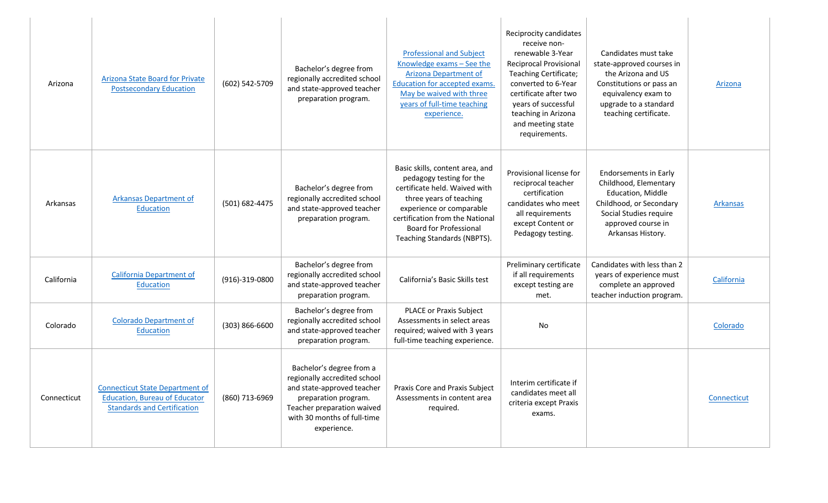| Arizona     | <b>Arizona State Board for Private</b><br><b>Postsecondary Education</b>                                             | (602) 542-5709     | Bachelor's degree from<br>regionally accredited school<br>and state-approved teacher<br>preparation program.                                                                               | <b>Professional and Subject</b><br>Knowledge exams - See the<br><b>Arizona Department of</b><br>Education for accepted exams.<br>May be waived with three<br>years of full-time teaching<br>experience.                                                | Reciprocity candidates<br>receive non-<br>renewable 3-Year<br><b>Reciprocal Provisional</b><br>Teaching Certificate;<br>converted to 6-Year<br>certificate after two<br>years of successful<br>teaching in Arizona<br>and meeting state<br>requirements. | Candidates must take<br>state-approved courses in<br>the Arizona and US<br>Constitutions or pass an<br>equivalency exam to<br>upgrade to a standard<br>teaching certificate. | Arizona         |
|-------------|----------------------------------------------------------------------------------------------------------------------|--------------------|--------------------------------------------------------------------------------------------------------------------------------------------------------------------------------------------|--------------------------------------------------------------------------------------------------------------------------------------------------------------------------------------------------------------------------------------------------------|----------------------------------------------------------------------------------------------------------------------------------------------------------------------------------------------------------------------------------------------------------|------------------------------------------------------------------------------------------------------------------------------------------------------------------------------|-----------------|
| Arkansas    | <b>Arkansas Department of</b><br>Education                                                                           | (501) 682-4475     | Bachelor's degree from<br>regionally accredited school<br>and state-approved teacher<br>preparation program.                                                                               | Basic skills, content area, and<br>pedagogy testing for the<br>certificate held. Waived with<br>three years of teaching<br>experience or comparable<br>certification from the National<br><b>Board for Professional</b><br>Teaching Standards (NBPTS). | Provisional license for<br>reciprocal teacher<br>certification<br>candidates who meet<br>all requirements<br>except Content or<br>Pedagogy testing.                                                                                                      | <b>Endorsements in Early</b><br>Childhood, Elementary<br>Education, Middle<br>Childhood, or Secondary<br>Social Studies require<br>approved course in<br>Arkansas History.   | <b>Arkansas</b> |
| California  | <b>California Department of</b><br>Education                                                                         | (916)-319-0800     | Bachelor's degree from<br>regionally accredited school<br>and state-approved teacher<br>preparation program.                                                                               | California's Basic Skills test                                                                                                                                                                                                                         | Preliminary certificate<br>if all requirements<br>except testing are<br>met.                                                                                                                                                                             | Candidates with less than 2<br>years of experience must<br>complete an approved<br>teacher induction program.                                                                | California      |
| Colorado    | <b>Colorado Department of</b><br>Education                                                                           | $(303) 866 - 6600$ | Bachelor's degree from<br>regionally accredited school<br>and state-approved teacher<br>preparation program.                                                                               | <b>PLACE or Praxis Subject</b><br>Assessments in select areas<br>required; waived with 3 years<br>full-time teaching experience.                                                                                                                       | No                                                                                                                                                                                                                                                       |                                                                                                                                                                              | Colorado        |
| Connecticut | <b>Connecticut State Department of</b><br><b>Education, Bureau of Educator</b><br><b>Standards and Certification</b> | (860) 713-6969     | Bachelor's degree from a<br>regionally accredited school<br>and state-approved teacher<br>preparation program.<br>Teacher preparation waived<br>with 30 months of full-time<br>experience. | <b>Praxis Core and Praxis Subject</b><br>Assessments in content area<br>required.                                                                                                                                                                      | Interim certificate if<br>candidates meet all<br>criteria except Praxis<br>exams.                                                                                                                                                                        |                                                                                                                                                                              | Connecticut     |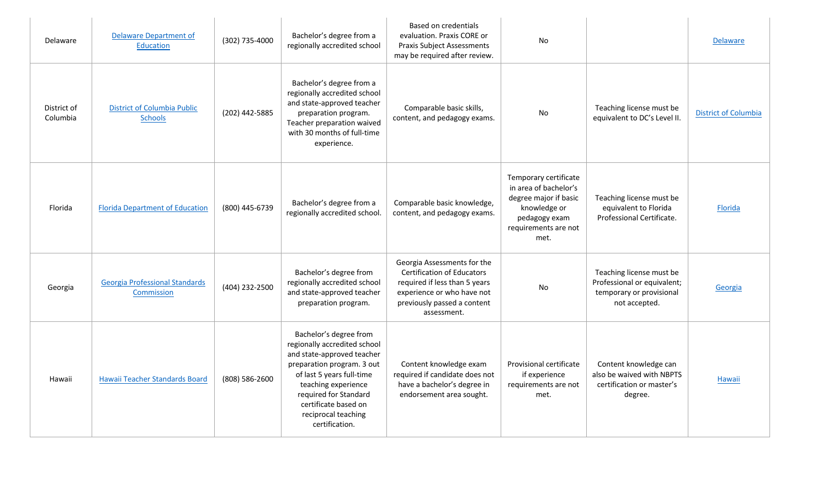| <b>Delaware</b>         | <b>Delaware Department of</b><br>Education           | (302) 735-4000 | Bachelor's degree from a<br>regionally accredited school                                                                                                                                                                                                         | <b>Based on credentials</b><br>evaluation. Praxis CORE or<br><b>Praxis Subject Assessments</b><br>may be required after review.                                               | No                                                                                                                                       |                                                                                                      | <b>Delaware</b>             |
|-------------------------|------------------------------------------------------|----------------|------------------------------------------------------------------------------------------------------------------------------------------------------------------------------------------------------------------------------------------------------------------|-------------------------------------------------------------------------------------------------------------------------------------------------------------------------------|------------------------------------------------------------------------------------------------------------------------------------------|------------------------------------------------------------------------------------------------------|-----------------------------|
| District of<br>Columbia | <b>District of Columbia Public</b><br><b>Schools</b> | (202) 442-5885 | Bachelor's degree from a<br>regionally accredited school<br>and state-approved teacher<br>preparation program.<br>Teacher preparation waived<br>with 30 months of full-time<br>experience.                                                                       | Comparable basic skills,<br>content, and pedagogy exams.                                                                                                                      | No                                                                                                                                       | Teaching license must be<br>equivalent to DC's Level II.                                             | <b>District of Columbia</b> |
| Florida                 | <b>Florida Department of Education</b>               | (800) 445-6739 | Bachelor's degree from a<br>regionally accredited school.                                                                                                                                                                                                        | Comparable basic knowledge,<br>content, and pedagogy exams.                                                                                                                   | Temporary certificate<br>in area of bachelor's<br>degree major if basic<br>knowledge or<br>pedagogy exam<br>requirements are not<br>met. | Teaching license must be<br>equivalent to Florida<br>Professional Certificate.                       | Florida                     |
| Georgia                 | <b>Georgia Professional Standards</b><br>Commission  | (404) 232-2500 | Bachelor's degree from<br>regionally accredited school<br>and state-approved teacher<br>preparation program.                                                                                                                                                     | Georgia Assessments for the<br><b>Certification of Educators</b><br>required if less than 5 years<br>experience or who have not<br>previously passed a content<br>assessment. | No                                                                                                                                       | Teaching license must be<br>Professional or equivalent;<br>temporary or provisional<br>not accepted. | Georgia                     |
| Hawaii                  | Hawaii Teacher Standards Board                       | (808) 586-2600 | Bachelor's degree from<br>regionally accredited school<br>and state-approved teacher<br>preparation program. 3 out<br>of last 5 years full-time<br>teaching experience<br>required for Standard<br>certificate based on<br>reciprocal teaching<br>certification. | Content knowledge exam<br>required if candidate does not<br>have a bachelor's degree in<br>endorsement area sought.                                                           | Provisional certificate<br>if experience<br>requirements are not<br>met.                                                                 | Content knowledge can<br>also be waived with NBPTS<br>certification or master's<br>degree.           | Hawaii                      |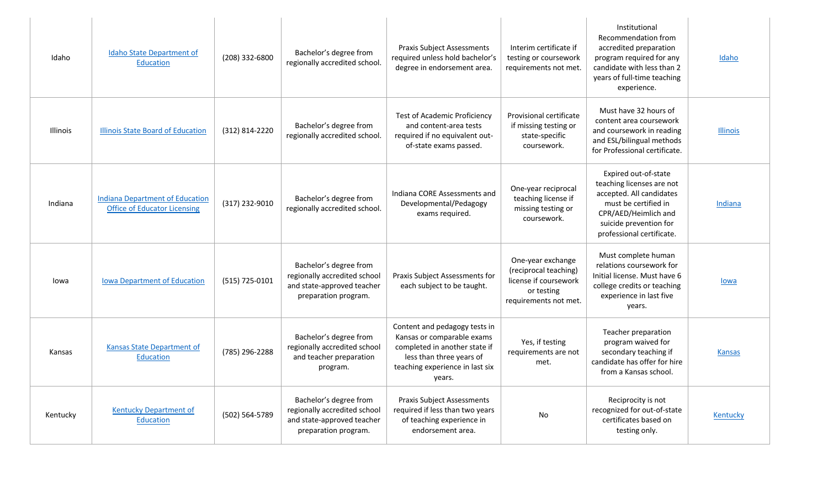| Idaho           | <b>Idaho State Department of</b><br><b>Education</b>                          | (208) 332-6800 | Bachelor's degree from<br>regionally accredited school.                                                      | <b>Praxis Subject Assessments</b><br>required unless hold bachelor's<br>degree in endorsement area.                                                                   | Interim certificate if<br>testing or coursework<br>requirements not met.                                   | Institutional<br>Recommendation from<br>accredited preparation<br>program required for any<br>candidate with less than 2<br>years of full-time teaching<br>experience.               | Idaho           |
|-----------------|-------------------------------------------------------------------------------|----------------|--------------------------------------------------------------------------------------------------------------|-----------------------------------------------------------------------------------------------------------------------------------------------------------------------|------------------------------------------------------------------------------------------------------------|--------------------------------------------------------------------------------------------------------------------------------------------------------------------------------------|-----------------|
| <b>Illinois</b> | Illinois State Board of Education                                             | (312) 814-2220 | Bachelor's degree from<br>regionally accredited school.                                                      | <b>Test of Academic Proficiency</b><br>and content-area tests<br>required if no equivalent out-<br>of-state exams passed.                                             | Provisional certificate<br>if missing testing or<br>state-specific<br>coursework.                          | Must have 32 hours of<br>content area coursework<br>and coursework in reading<br>and ESL/bilingual methods<br>for Professional certificate.                                          | <b>Illinois</b> |
| Indiana         | <b>Indiana Department of Education</b><br><b>Office of Educator Licensing</b> | (317) 232-9010 | Bachelor's degree from<br>regionally accredited school.                                                      | Indiana CORE Assessments and<br>Developmental/Pedagogy<br>exams required.                                                                                             | One-year reciprocal<br>teaching license if<br>missing testing or<br>coursework.                            | Expired out-of-state<br>teaching licenses are not<br>accepted. All candidates<br>must be certified in<br>CPR/AED/Heimlich and<br>suicide prevention for<br>professional certificate. | Indiana         |
| lowa            | <b>Iowa Department of Education</b>                                           | (515) 725-0101 | Bachelor's degree from<br>regionally accredited school<br>and state-approved teacher<br>preparation program. | Praxis Subject Assessments for<br>each subject to be taught.                                                                                                          | One-year exchange<br>(reciprocal teaching)<br>license if coursework<br>or testing<br>requirements not met. | Must complete human<br>relations coursework for<br>Initial license. Must have 6<br>college credits or teaching<br>experience in last five<br>years.                                  | lowa            |
| Kansas          | <b>Kansas State Department of</b><br><b>Education</b>                         | (785) 296-2288 | Bachelor's degree from<br>regionally accredited school<br>and teacher preparation<br>program.                | Content and pedagogy tests in<br>Kansas or comparable exams<br>completed in another state if<br>less than three years of<br>teaching experience in last six<br>years. | Yes, if testing<br>requirements are not<br>met.                                                            | Teacher preparation<br>program waived for<br>secondary teaching if<br>candidate has offer for hire<br>from a Kansas school.                                                          | <b>Kansas</b>   |
| Kentucky        | <b>Kentucky Department of</b><br><b>Education</b>                             | (502) 564-5789 | Bachelor's degree from<br>regionally accredited school<br>and state-approved teacher<br>preparation program. | <b>Praxis Subject Assessments</b><br>required if less than two years<br>of teaching experience in<br>endorsement area.                                                | No                                                                                                         | Reciprocity is not<br>recognized for out-of-state<br>certificates based on<br>testing only.                                                                                          | Kentucky        |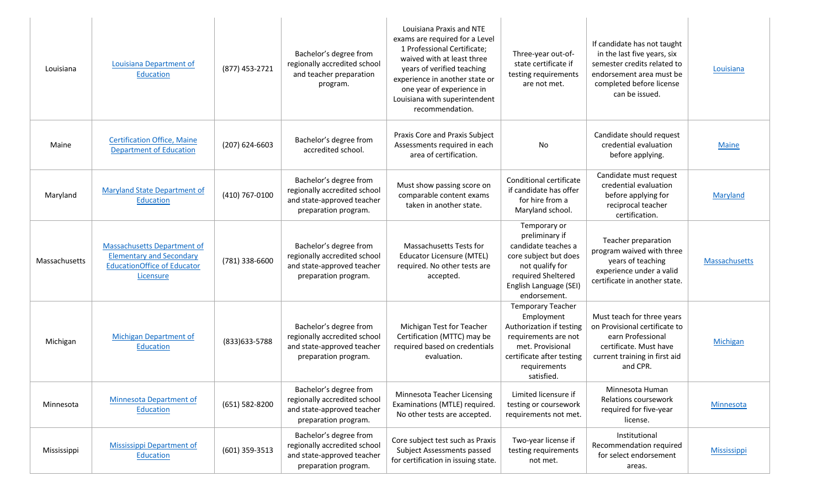| Louisiana     | Louisiana Department of<br><b>Education</b>                                                                              | (877) 453-2721 | Bachelor's degree from<br>regionally accredited school<br>and teacher preparation<br>program.                | Louisiana Praxis and NTE<br>exams are required for a Level<br>1 Professional Certificate;<br>waived with at least three<br>years of verified teaching<br>experience in another state or<br>one year of experience in<br>Louisiana with superintendent<br>recommendation. | Three-year out-of-<br>state certificate if<br>testing requirements<br>are not met.                                                                                        | If candidate has not taught<br>in the last five years, six<br>semester credits related to<br>endorsement area must be<br>completed before license<br>can be issued. | Louisiana          |
|---------------|--------------------------------------------------------------------------------------------------------------------------|----------------|--------------------------------------------------------------------------------------------------------------|--------------------------------------------------------------------------------------------------------------------------------------------------------------------------------------------------------------------------------------------------------------------------|---------------------------------------------------------------------------------------------------------------------------------------------------------------------------|---------------------------------------------------------------------------------------------------------------------------------------------------------------------|--------------------|
| Maine         | <b>Certification Office, Maine</b><br><b>Department of Education</b>                                                     | (207) 624-6603 | Bachelor's degree from<br>accredited school.                                                                 | Praxis Core and Praxis Subject<br>Assessments required in each<br>area of certification.                                                                                                                                                                                 | No                                                                                                                                                                        | Candidate should request<br>credential evaluation<br>before applying.                                                                                               | <b>Maine</b>       |
| Maryland      | <b>Maryland State Department of</b><br><b>Education</b>                                                                  | (410) 767-0100 | Bachelor's degree from<br>regionally accredited school<br>and state-approved teacher<br>preparation program. | Must show passing score on<br>comparable content exams<br>taken in another state.                                                                                                                                                                                        | Conditional certificate<br>if candidate has offer<br>for hire from a<br>Maryland school.                                                                                  | Candidate must request<br>credential evaluation<br>before applying for<br>reciprocal teacher<br>certification.                                                      | Maryland           |
| Massachusetts | <b>Massachusetts Department of</b><br><b>Elementary and Secondary</b><br><b>EducationOffice of Educator</b><br>Licensure | (781) 338-6600 | Bachelor's degree from<br>regionally accredited school<br>and state-approved teacher<br>preparation program. | Massachusetts Tests for<br><b>Educator Licensure (MTEL)</b><br>required. No other tests are<br>accepted.                                                                                                                                                                 | Temporary or<br>preliminary if<br>candidate teaches a<br>core subject but does<br>not qualify for<br>required Sheltered<br>English Language (SEI)<br>endorsement.         | Teacher preparation<br>program waived with three<br>years of teaching<br>experience under a valid<br>certificate in another state.                                  | Massachusetts      |
| Michigan      | Michigan Department of<br>Education                                                                                      | (833) 633-5788 | Bachelor's degree from<br>regionally accredited school<br>and state-approved teacher<br>preparation program. | Michigan Test for Teacher<br>Certification (MTTC) may be<br>required based on credentials<br>evaluation.                                                                                                                                                                 | <b>Temporary Teacher</b><br>Employment<br>Authorization if testing<br>requirements are not<br>met. Provisional<br>certificate after testing<br>requirements<br>satisfied. | Must teach for three years<br>on Provisional certificate to<br>earn Professional<br>certificate. Must have<br>current training in first aid<br>and CPR.             | Michigan           |
| Minnesota     | <b>Minnesota Department of</b><br>Education                                                                              | (651) 582-8200 | Bachelor's degree from<br>regionally accredited school<br>and state-approved teacher<br>preparation program. | Minnesota Teacher Licensing<br>Examinations (MTLE) required.<br>No other tests are accepted.                                                                                                                                                                             | Limited licensure if<br>testing or coursework<br>requirements not met.                                                                                                    | Minnesota Human<br>Relations coursework<br>required for five-year<br>license.                                                                                       | <b>Minnesota</b>   |
| Mississippi   | <b>Mississippi Department of</b><br>Education                                                                            | (601) 359-3513 | Bachelor's degree from<br>regionally accredited school<br>and state-approved teacher<br>preparation program. | Core subject test such as Praxis<br>Subject Assessments passed<br>for certification in issuing state.                                                                                                                                                                    | Two-year license if<br>testing requirements<br>not met.                                                                                                                   | Institutional<br>Recommendation required<br>for select endorsement<br>areas.                                                                                        | <b>Mississippi</b> |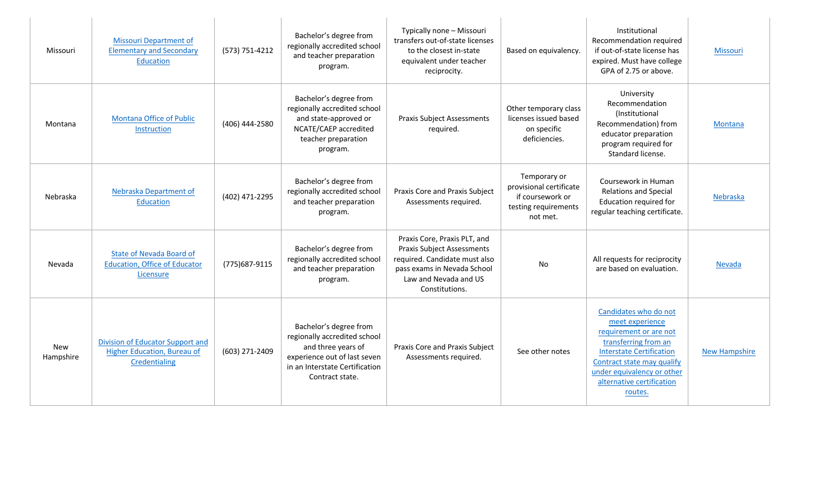| Missouri                | <b>Missouri Department of</b><br><b>Elementary and Secondary</b><br>Education        | (573) 751-4212 | Bachelor's degree from<br>regionally accredited school<br>and teacher preparation<br>program.                                                                     | Typically none - Missouri<br>transfers out-of-state licenses<br>to the closest in-state<br>equivalent under teacher<br>reciprocity.                                          | Based on equivalency.                                                                           | Institutional<br>Recommendation required<br>if out-of-state license has<br>expired. Must have college<br>GPA of 2.75 or above.                                                                                                    | Missouri             |
|-------------------------|--------------------------------------------------------------------------------------|----------------|-------------------------------------------------------------------------------------------------------------------------------------------------------------------|------------------------------------------------------------------------------------------------------------------------------------------------------------------------------|-------------------------------------------------------------------------------------------------|-----------------------------------------------------------------------------------------------------------------------------------------------------------------------------------------------------------------------------------|----------------------|
| Montana                 | <b>Montana Office of Public</b><br>Instruction                                       | (406) 444-2580 | Bachelor's degree from<br>regionally accredited school<br>and state-approved or<br>NCATE/CAEP accredited<br>teacher preparation<br>program.                       | <b>Praxis Subject Assessments</b><br>required.                                                                                                                               | Other temporary class<br>licenses issued based<br>on specific<br>deficiencies.                  | University<br>Recommendation<br>(Institutional<br>Recommendation) from<br>educator preparation<br>program required for<br>Standard license.                                                                                       | <b>Montana</b>       |
| Nebraska                | Nebraska Department of<br>Education                                                  | (402) 471-2295 | Bachelor's degree from<br>regionally accredited school<br>and teacher preparation<br>program.                                                                     | Praxis Core and Praxis Subject<br>Assessments required.                                                                                                                      | Temporary or<br>provisional certificate<br>if coursework or<br>testing requirements<br>not met. | Coursework in Human<br><b>Relations and Special</b><br>Education required for<br>regular teaching certificate.                                                                                                                    | Nebraska             |
| Nevada                  | <b>State of Nevada Board of</b><br><b>Education, Office of Educator</b><br>Licensure | (775) 687-9115 | Bachelor's degree from<br>regionally accredited school<br>and teacher preparation<br>program.                                                                     | Praxis Core, Praxis PLT, and<br><b>Praxis Subject Assessments</b><br>required. Candidate must also<br>pass exams in Nevada School<br>Law and Nevada and US<br>Constitutions. | No                                                                                              | All requests for reciprocity<br>are based on evaluation.                                                                                                                                                                          | Nevada               |
| <b>New</b><br>Hampshire | Division of Educator Support and<br>Higher Education, Bureau of<br>Credentialing     | (603) 271-2409 | Bachelor's degree from<br>regionally accredited school<br>and three years of<br>experience out of last seven<br>in an Interstate Certification<br>Contract state. | Praxis Core and Praxis Subject<br>Assessments required.                                                                                                                      | See other notes                                                                                 | Candidates who do not<br>meet experience<br>requirement or are not<br>transferring from an<br><b>Interstate Certification</b><br>Contract state may qualify<br>under equivalency or other<br>alternative certification<br>routes. | <b>New Hampshire</b> |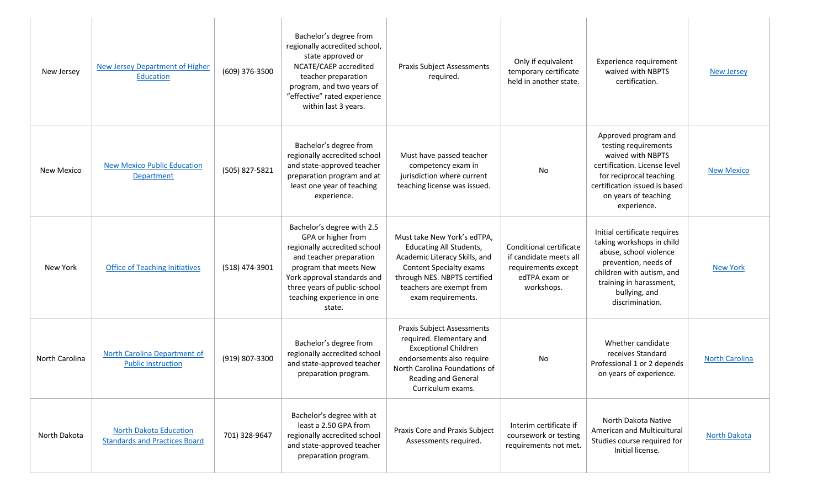| New Jersey     | <b>New Jersey Department of Higher</b><br>Education                   | (609) 376-3500 | Bachelor's degree from<br>regionally accredited school,<br>state approved or<br>NCATE/CAEP accredited<br>teacher preparation<br>program, and two years of<br>"effective" rated experience<br>within last 3 years.                            | <b>Praxis Subject Assessments</b><br>required.                                                                                                                                                              | Only if equivalent<br>temporary certificate<br>held in another state.                                   | Experience requirement<br>waived with NBPTS<br>certification.                                                                                                                                           | <b>New Jersey</b>     |
|----------------|-----------------------------------------------------------------------|----------------|----------------------------------------------------------------------------------------------------------------------------------------------------------------------------------------------------------------------------------------------|-------------------------------------------------------------------------------------------------------------------------------------------------------------------------------------------------------------|---------------------------------------------------------------------------------------------------------|---------------------------------------------------------------------------------------------------------------------------------------------------------------------------------------------------------|-----------------------|
| New Mexico     | <b>New Mexico Public Education</b><br>Department                      | (505) 827-5821 | Bachelor's degree from<br>regionally accredited school<br>and state-approved teacher<br>preparation program and at<br>least one year of teaching<br>experience.                                                                              | Must have passed teacher<br>competency exam in<br>jurisdiction where current<br>teaching license was issued.                                                                                                | No                                                                                                      | Approved program and<br>testing requirements<br>waived with NBPTS<br>certification. License level<br>for reciprocal teaching<br>certification issued is based<br>on years of teaching<br>experience.    | <b>New Mexico</b>     |
| New York       | <b>Office of Teaching Initiatives</b>                                 | (518) 474-3901 | Bachelor's degree with 2.5<br>GPA or higher from<br>regionally accredited school<br>and teacher preparation<br>program that meets New<br>York approval standards and<br>three years of public-school<br>teaching experience in one<br>state. | Must take New York's edTPA,<br><b>Educating All Students,</b><br>Academic Literacy Skills, and<br>Content Specialty exams<br>through NES. NBPTS certified<br>teachers are exempt from<br>exam requirements. | Conditional certificate<br>if candidate meets all<br>requirements except<br>edTPA exam or<br>workshops. | Initial certificate requires<br>taking workshops in child<br>abuse, school violence<br>prevention, needs of<br>children with autism, and<br>training in harassment,<br>bullying, and<br>discrimination. | <b>New York</b>       |
| North Carolina | North Carolina Department of<br><b>Public Instruction</b>             | (919) 807-3300 | Bachelor's degree from<br>regionally accredited school<br>and state-approved teacher<br>preparation program.                                                                                                                                 | <b>Praxis Subject Assessments</b><br>required. Elementary and<br><b>Exceptional Children</b><br>endorsements also require<br>North Carolina Foundations of<br>Reading and General<br>Curriculum exams.      | No                                                                                                      | Whether candidate<br>receives Standard<br>Professional 1 or 2 depends<br>on years of experience.                                                                                                        | <b>North Carolina</b> |
| North Dakota   | <b>North Dakota Education</b><br><b>Standards and Practices Board</b> | 701) 328-9647  | Bachelor's degree with at<br>least a 2.50 GPA from<br>regionally accredited school<br>and state-approved teacher<br>preparation program.                                                                                                     | Praxis Core and Praxis Subject<br>Assessments required.                                                                                                                                                     | Interim certificate if<br>coursework or testing<br>requirements not met.                                | North Dakota Native<br>American and Multicultural<br>Studies course required for<br>Initial license.                                                                                                    | <b>North Dakota</b>   |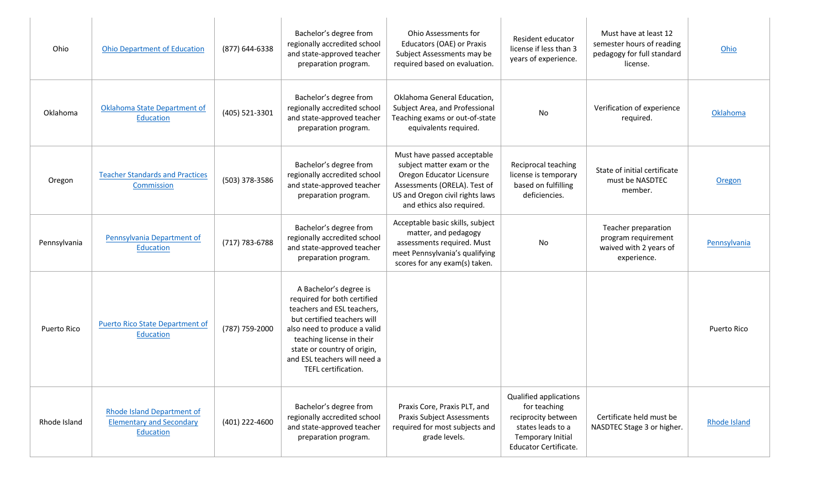| Ohio         | <b>Ohio Department of Education</b>                                               | (877) 644-6338 | Bachelor's degree from<br>regionally accredited school<br>and state-approved teacher<br>preparation program.                                                                                                                                                          | Ohio Assessments for<br>Educators (OAE) or Praxis<br>Subject Assessments may be<br>required based on evaluation.                                                                       | Resident educator<br>license if less than 3<br>years of experience.                                                              | Must have at least 12<br>semester hours of reading<br>pedagogy for full standard<br>license. | Ohio                |
|--------------|-----------------------------------------------------------------------------------|----------------|-----------------------------------------------------------------------------------------------------------------------------------------------------------------------------------------------------------------------------------------------------------------------|----------------------------------------------------------------------------------------------------------------------------------------------------------------------------------------|----------------------------------------------------------------------------------------------------------------------------------|----------------------------------------------------------------------------------------------|---------------------|
| Oklahoma     | Oklahoma State Department of<br><b>Education</b>                                  | (405) 521-3301 | Bachelor's degree from<br>regionally accredited school<br>and state-approved teacher<br>preparation program.                                                                                                                                                          | Oklahoma General Education,<br>Subject Area, and Professional<br>Teaching exams or out-of-state<br>equivalents required.                                                               | No                                                                                                                               | Verification of experience<br>required.                                                      | Oklahoma            |
| Oregon       | <b>Teacher Standards and Practices</b><br>Commission                              | (503) 378-3586 | Bachelor's degree from<br>regionally accredited school<br>and state-approved teacher<br>preparation program.                                                                                                                                                          | Must have passed acceptable<br>subject matter exam or the<br>Oregon Educator Licensure<br>Assessments (ORELA). Test of<br>US and Oregon civil rights laws<br>and ethics also required. | Reciprocal teaching<br>license is temporary<br>based on fulfilling<br>deficiencies.                                              | State of initial certificate<br>must be NASDTEC<br>member.                                   | Oregon              |
| Pennsylvania | Pennsylvania Department of<br>Education                                           | (717) 783-6788 | Bachelor's degree from<br>regionally accredited school<br>and state-approved teacher<br>preparation program.                                                                                                                                                          | Acceptable basic skills, subject<br>matter, and pedagogy<br>assessments required. Must<br>meet Pennsylvania's qualifying<br>scores for any exam(s) taken.                              | No                                                                                                                               | Teacher preparation<br>program requirement<br>waived with 2 years of<br>experience.          | Pennsylvania        |
| Puerto Rico  | Puerto Rico State Department of<br>Education                                      | (787) 759-2000 | A Bachelor's degree is<br>required for both certified<br>teachers and ESL teachers,<br>but certified teachers will<br>also need to produce a valid<br>teaching license in their<br>state or country of origin,<br>and ESL teachers will need a<br>TEFL certification. |                                                                                                                                                                                        |                                                                                                                                  |                                                                                              | Puerto Rico         |
| Rhode Island | <b>Rhode Island Department of</b><br><b>Elementary and Secondary</b><br>Education | (401) 222-4600 | Bachelor's degree from<br>regionally accredited school<br>and state-approved teacher<br>preparation program.                                                                                                                                                          | Praxis Core, Praxis PLT, and<br><b>Praxis Subject Assessments</b><br>required for most subjects and<br>grade levels.                                                                   | Qualified applications<br>for teaching<br>reciprocity between<br>states leads to a<br>Temporary Initial<br>Educator Certificate. | Certificate held must be<br>NASDTEC Stage 3 or higher.                                       | <b>Rhode Island</b> |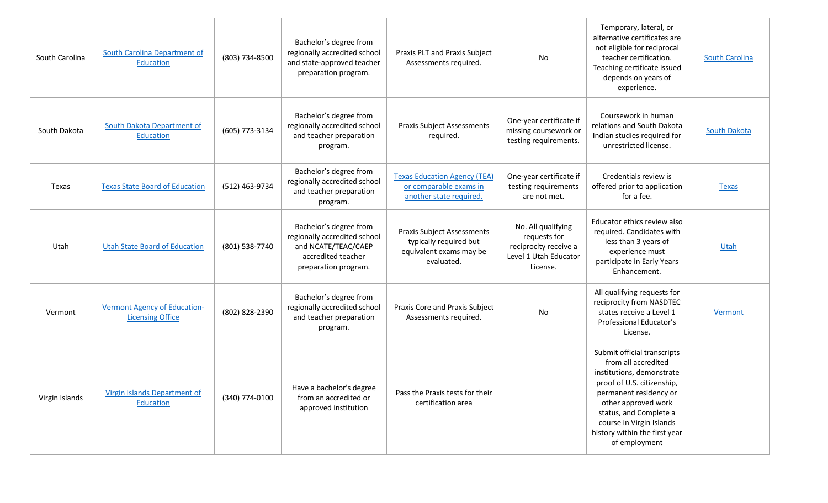| South Carolina | South Carolina Department of<br>Education               | (803) 734-8500 | Bachelor's degree from<br>regionally accredited school<br>and state-approved teacher<br>preparation program.                | Praxis PLT and Praxis Subject<br>Assessments required.                                               | No                                                                                               | Temporary, lateral, or<br>alternative certificates are<br>not eligible for reciprocal<br>teacher certification.<br>Teaching certificate issued<br>depends on years of<br>experience.                                                                                   | <b>South Carolina</b> |
|----------------|---------------------------------------------------------|----------------|-----------------------------------------------------------------------------------------------------------------------------|------------------------------------------------------------------------------------------------------|--------------------------------------------------------------------------------------------------|------------------------------------------------------------------------------------------------------------------------------------------------------------------------------------------------------------------------------------------------------------------------|-----------------------|
| South Dakota   | South Dakota Department of<br>Education                 | (605) 773-3134 | Bachelor's degree from<br>regionally accredited school<br>and teacher preparation<br>program.                               | <b>Praxis Subject Assessments</b><br>required.                                                       | One-year certificate if<br>missing coursework or<br>testing requirements.                        | Coursework in human<br>relations and South Dakota<br>Indian studies required for<br>unrestricted license.                                                                                                                                                              | <b>South Dakota</b>   |
| Texas          | <b>Texas State Board of Education</b>                   | (512) 463-9734 | Bachelor's degree from<br>regionally accredited school<br>and teacher preparation<br>program.                               | <b>Texas Education Agency (TEA)</b><br>or comparable exams in<br>another state required.             | One-year certificate if<br>testing requirements<br>are not met.                                  | Credentials review is<br>offered prior to application<br>for a fee.                                                                                                                                                                                                    | <b>Texas</b>          |
| Utah           | <b>Utah State Board of Education</b>                    | (801) 538-7740 | Bachelor's degree from<br>regionally accredited school<br>and NCATE/TEAC/CAEP<br>accredited teacher<br>preparation program. | <b>Praxis Subject Assessments</b><br>typically required but<br>equivalent exams may be<br>evaluated. | No. All qualifying<br>requests for<br>reciprocity receive a<br>Level 1 Utah Educator<br>License. | Educator ethics review also<br>required. Candidates with<br>less than 3 years of<br>experience must<br>participate in Early Years<br>Enhancement.                                                                                                                      | Utah                  |
| Vermont        | Vermont Agency of Education-<br><b>Licensing Office</b> | (802) 828-2390 | Bachelor's degree from<br>regionally accredited school<br>and teacher preparation<br>program.                               | Praxis Core and Praxis Subject<br>Assessments required.                                              | No                                                                                               | All qualifying requests for<br>reciprocity from NASDTEC<br>states receive a Level 1<br>Professional Educator's<br>License.                                                                                                                                             | Vermont               |
| Virgin Islands | <b>Virgin Islands Department of</b><br>Education        | (340) 774-0100 | Have a bachelor's degree<br>from an accredited or<br>approved institution                                                   | Pass the Praxis tests for their<br>certification area                                                |                                                                                                  | Submit official transcripts<br>from all accredited<br>institutions, demonstrate<br>proof of U.S. citizenship,<br>permanent residency or<br>other approved work<br>status, and Complete a<br>course in Virgin Islands<br>history within the first year<br>of employment |                       |